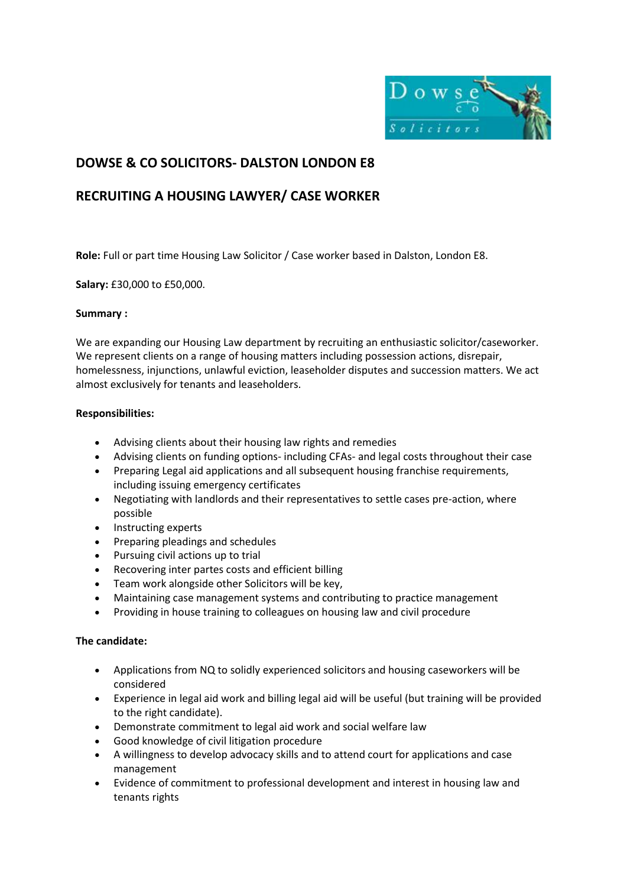

# **DOWSE & CO SOLICITORS- DALSTON LONDON E8**

## **RECRUITING A HOUSING LAWYER/ CASE WORKER**

**Role:** Full or part time Housing Law Solicitor / Case worker based in Dalston, London E8.

**Salary:** £30,000 to £50,000.

## **Summary :**

We are expanding our Housing Law department by recruiting an enthusiastic solicitor/caseworker. We represent clients on a range of housing matters including possession actions, disrepair, homelessness, injunctions, unlawful eviction, leaseholder disputes and succession matters. We act almost exclusively for tenants and leaseholders.

## **Responsibilities:**

- Advising clients about their housing law rights and remedies
- Advising clients on funding options- including CFAs- and legal costs throughout their case
- Preparing Legal aid applications and all subsequent housing franchise requirements, including issuing emergency certificates
- Negotiating with landlords and their representatives to settle cases pre-action, where possible
- Instructing experts
- Preparing pleadings and schedules
- Pursuing civil actions up to trial
- Recovering inter partes costs and efficient billing
- Team work alongside other Solicitors will be key,
- Maintaining case management systems and contributing to practice management
- Providing in house training to colleagues on housing law and civil procedure

## **The candidate:**

- Applications from NQ to solidly experienced solicitors and housing caseworkers will be considered
- Experience in legal aid work and billing legal aid will be useful (but training will be provided to the right candidate).
- Demonstrate commitment to legal aid work and social welfare law
- Good knowledge of civil litigation procedure
- A willingness to develop advocacy skills and to attend court for applications and case management
- Evidence of commitment to professional development and interest in housing law and tenants rights